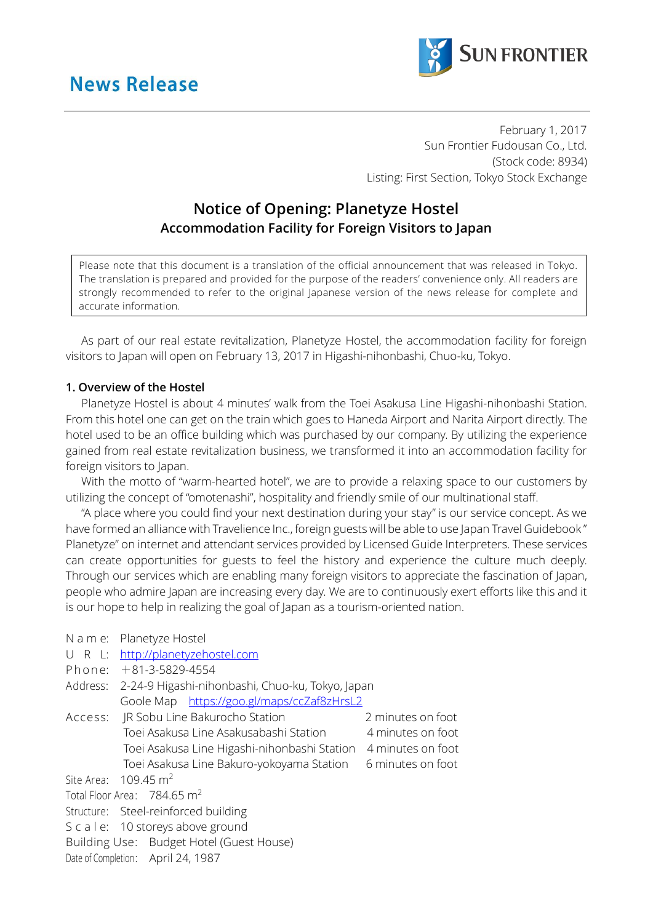

February 1, 2017 Sun Frontier Fudousan Co., Ltd. (Stock code: 8934) Listing: First Section, Tokyo Stock Exchange

## **Notice of Opening: Planetyze Hostel Accommodation Facility for Foreign Visitors to Japan**

Please note that this document is a translation of the official announcement that was released in Tokyo. The translation is prepared and provided for the purpose of the readers' convenience only. All readers are strongly recommended to refer to the original Japanese version of the news release for complete and accurate information.

As part of our real estate revitalization, Planetyze Hostel, the accommodation facility for foreign visitors to Japan will open on February 13, 2017 in Higashi-nihonbashi, Chuo-ku, Tokyo.

## **1. Overview of the Hostel**

Planetyze Hostel is about 4 minutes' walk from the Toei Asakusa Line Higashi-nihonbashi Station. From this hotel one can get on the train which goes to Haneda Airport and Narita Airport directly. The hotel used to be an office building which was purchased by our company. By utilizing the experience gained from real estate revitalization business, we transformed it into an accommodation facility for foreign visitors to Japan.

With the motto of "warm-hearted hotel", we are to provide a relaxing space to our customers by utilizing the concept of "omotenashi", hospitality and friendly smile of our multinational staff.

"A place where you could find your next destination during your stay" is our service concept. As we have formed an alliance with Travelience Inc., foreign guests will be able to use Japan Travel Guidebook " Planetyze" on internet and attendant services provided by Licensed Guide Interpreters. These services can create opportunities for guests to feel the history and experience the culture much deeply. Through our services which are enabling many foreign visitors to appreciate the fascination of Japan, people who admire Japan are increasing every day. We are to continuously exert efforts like this and it is our hope to help in realizing the goal of Japan as a tourism-oriented nation.

| 2-24-9 Higashi-nihonbashi, Chuo-ku, Tokyo, Japan |                                                                                                                                                                                                                                                                                                                                                                          |
|--------------------------------------------------|--------------------------------------------------------------------------------------------------------------------------------------------------------------------------------------------------------------------------------------------------------------------------------------------------------------------------------------------------------------------------|
| Goole Map https://goo.gl/maps/ccZaf8zHrsL2       |                                                                                                                                                                                                                                                                                                                                                                          |
|                                                  | 2 minutes on foot                                                                                                                                                                                                                                                                                                                                                        |
| Toei Asakusa Line Asakusabashi Station           | 4 minutes on foot                                                                                                                                                                                                                                                                                                                                                        |
| Toei Asakusa Line Higashi-nihonbashi Station     | 4 minutes on foot                                                                                                                                                                                                                                                                                                                                                        |
| Toei Asakusa Line Bakuro-yokoyama Station        | 6 minutes on foot                                                                                                                                                                                                                                                                                                                                                        |
|                                                  |                                                                                                                                                                                                                                                                                                                                                                          |
|                                                  |                                                                                                                                                                                                                                                                                                                                                                          |
|                                                  |                                                                                                                                                                                                                                                                                                                                                                          |
|                                                  |                                                                                                                                                                                                                                                                                                                                                                          |
|                                                  |                                                                                                                                                                                                                                                                                                                                                                          |
|                                                  |                                                                                                                                                                                                                                                                                                                                                                          |
|                                                  | N a m e: Planetyze Hostel<br>U R L: http://planetyzehostel.com<br>Phone: +81-3-5829-4554<br>JR Sobu Line Bakurocho Station<br>Site Area: $109.45 \text{ m}^2$<br>Total Floor Area: 784.65 m <sup>2</sup><br>Structure: Steel-reinforced building<br>S c a l e: 10 storeys above ground<br>Building Use: Budget Hotel (Guest House)<br>Date of Completion: April 24, 1987 |